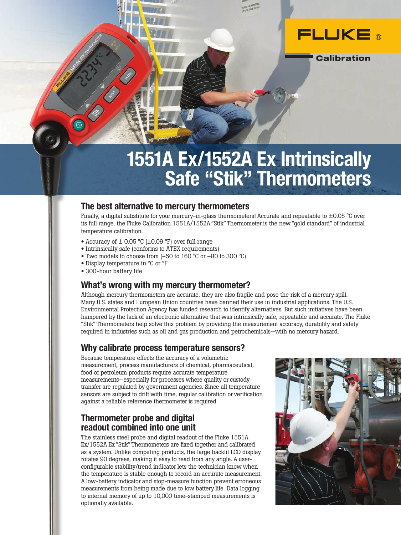

**Calibration** 

# 1551A Ex/1552A Ex Intrinsically Safe "Stik" Thermometers

### The best alternative to mercury thermometers

Finally, a digital substitute for your mercury-in-glass thermometers! Accurate and repeatable to  $\pm 0.05$  °C over its full range, the Fluke Calibration 1551A/1552A "Stik" Thermometer is the new "gold standard" of industrial temperature calibration.

- Accuracy of ± 0.05 °C (±0.09 °F) over full range
- Intrinsically safe (conforms to ATEX requirements)
- Two models to choose from (–50 to 160 °C or –80 to 300 °C)
- Display temperature in °C or °F
- 300-hour battery life

 $\Theta$ 

## What's wrong with my mercury thermometer?

Although mercury thermometers are accurate, they are also fragile and pose the risk of a mercury spill. Many U.S. states and European Union countries have banned their use in industrial applications. The U.S. Environmental Protection Agency has funded research to identify alternatives. But such initiatives have been hampered by the lack of an electronic alternative that was intrinsically safe, repeatable and accurate. The Fluke "Stik" Thermometers help solve this problem by providing the measurement accuracy, durability and safety required in industries such as oil and gas production and petrochemicals—with no mercury hazard.

# Why calibrate process temperature sensors?

Because temperature effects the accuracy of a volumetric measurement, process manufacturers of chemical, pharmaceutical, food or petroleum products require accurate temperature measurements—especially for processes where quality or custody transfer are regulated by government agencies. Since all temperature sensors are subject to drift with time, regular calibration or verification against a reliable reference thermometer is required.

# Thermometer probe and digital readout combined into one unit

The stainless steel probe and digital readout of the Fluke 1551A Ex/1552A Ex "Stik" Thermometers are fixed together and calibrated as a system. Unlike competing products, the large backlit LCD display rotates 90 degrees, making it easy to read from any angle. A userconfigurable stability/trend indicator lets the technician know when the temperature is stable enough to record an accurate measurement. A low-battery indicator and stop-measure function prevent erroneous measurements from being made due to low battery life. Data logging to internal memory of up to 10,000 time-stamped measurements is optionally available.